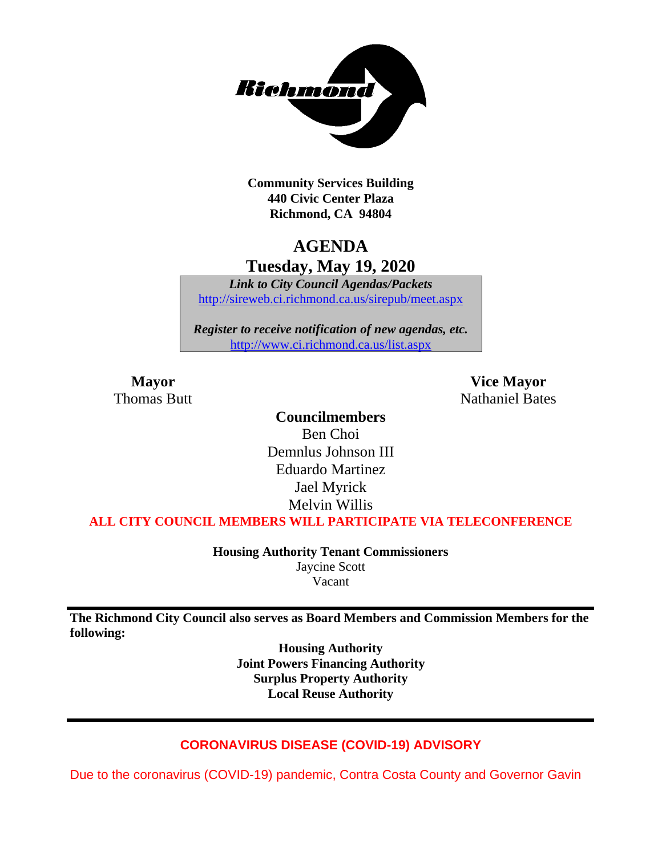

**Community Services Building 440 Civic Center Plaza Richmond, CA 94804**

# **AGENDA Tuesday, May 19, 2020**

*Link to City Council Agendas/Packets* <http://sireweb.ci.richmond.ca.us/sirepub/meet.aspx>

*Register to receive notification of new agendas, etc.* <http://www.ci.richmond.ca.us/list.aspx>

**Mayor Vice Mayor** Thomas Butt **Nathaniel Bates** Nathaniel Bates

### **Councilmembers**

Ben Choi Demnlus Johnson III Eduardo Martinez Jael Myrick Melvin Willis

**ALL CITY COUNCIL MEMBERS WILL PARTICIPATE VIA TELECONFERENCE**

**Housing Authority Tenant Commissioners** Jaycine Scott Vacant

**The Richmond City Council also serves as Board Members and Commission Members for the following:**

> **Housing Authority Joint Powers Financing Authority Surplus Property Authority Local Reuse Authority**

### **CORONAVIRUS DISEASE (COVID-19) ADVISORY**

Due to the coronavirus (COVID-19) pandemic, Contra Costa County and Governor Gavin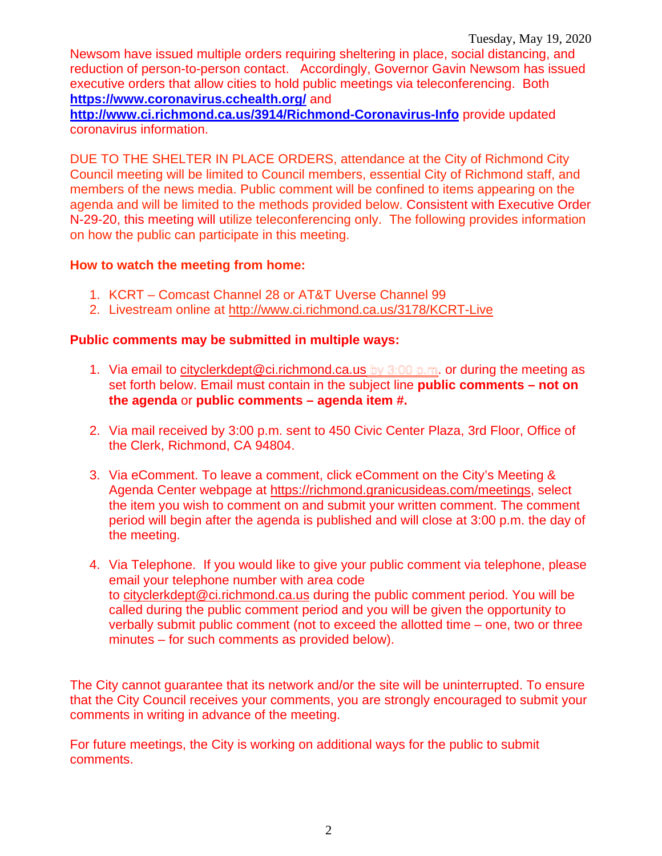Newsom have issued multiple orders requiring sheltering in place, social distancing, and reduction of person-to-person contact. Accordingly, Governor Gavin Newsom has issued executive orders that allow cities to hold public meetings via teleconferencing. Both **<https://www.coronavirus.cchealth.org/>** and

**<http://www.ci.richmond.ca.us/3914/Richmond-Coronavirus-Info>** provide updated coronavirus information.

DUE TO THE SHELTER IN PLACE ORDERS, attendance at the City of Richmond City Council meeting will be limited to Council members, essential City of Richmond staff, and members of the news media. Public comment will be confined to items appearing on the agenda and will be limited to the methods provided below. Consistent with Executive Order N-29-20, this meeting will utilize teleconferencing only. The following provides information on how the public can participate in this meeting.

#### **How to watch the meeting from home:**

- 1. KCRT Comcast Channel 28 or AT&T Uverse Channel 99
- 2. Livestream online at<http://www.ci.richmond.ca.us/3178/KCRT-Live>

#### **Public comments may be submitted in multiple ways:**

- 1. Via email to [cityclerkdept@ci.richmond.ca.us](mailto:cityclerkdept@ci.richmond.ca.us) by 3:00 p.m. or during the meeting as set forth below. Email must contain in the subject line **public comments – not on the agenda** or **public comments – agenda item #.**
- 2. Via mail received by 3:00 p.m. sent to 450 Civic Center Plaza, 3rd Floor, Office of the Clerk, Richmond, CA 94804.
- 3. Via eComment. To leave a comment, click eComment on the City's Meeting & Agenda Center webpage at [https://richmond.granicusideas.com/meetings,](https://richmond.granicusideas.com/meetings) select the item you wish to comment on and submit your written comment. The comment period will begin after the agenda is published and will close at 3:00 p.m. the day of the meeting.
- 4. Via Telephone. If you would like to give your public comment via telephone, please email your telephone number with area code to [cityclerkdept@ci.richmond.ca.us](mailto:cityclerkdept@ci.richmond.ca.us) during the public comment period. You will be called during the public comment period and you will be given the opportunity to verbally submit public comment (not to exceed the allotted time – one, two or three minutes – for such comments as provided below).

The City cannot guarantee that its network and/or the site will be uninterrupted. To ensure that the City Council receives your comments, you are strongly encouraged to submit your comments in writing in advance of the meeting.

For future meetings, the City is working on additional ways for the public to submit comments.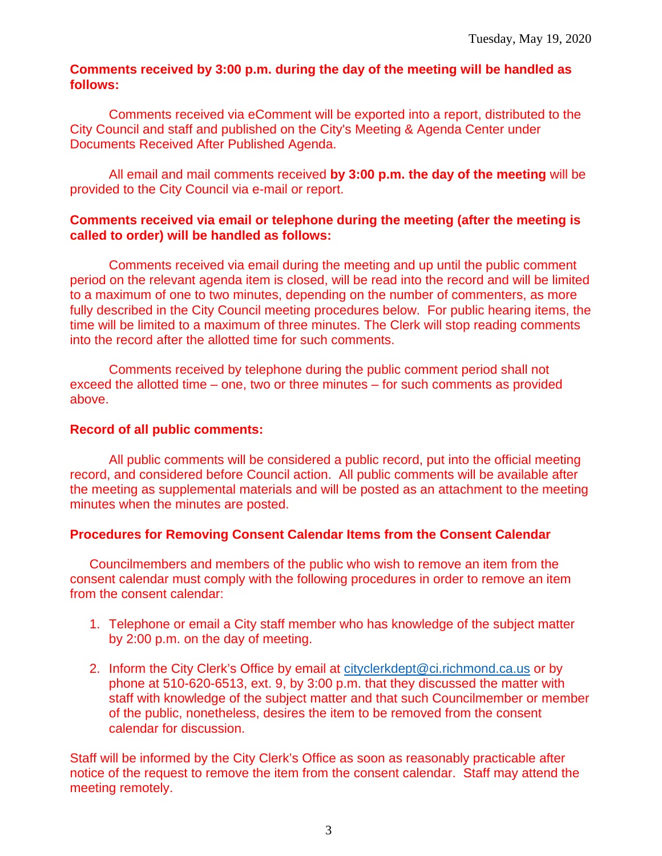#### **Comments received by 3:00 p.m. during the day of the meeting will be handled as follows:**

Comments received via eComment will be exported into a report, distributed to the City Council and staff and published on the City's Meeting & Agenda Center under Documents Received After Published Agenda.

All email and mail comments received **by 3:00 p.m. the day of the meeting** will be provided to the City Council via e-mail or report.

#### **Comments received via email or telephone during the meeting (after the meeting is called to order) will be handled as follows:**

Comments received via email during the meeting and up until the public comment period on the relevant agenda item is closed, will be read into the record and will be limited to a maximum of one to two minutes, depending on the number of commenters, as more fully described in the City Council meeting procedures below. For public hearing items, the time will be limited to a maximum of three minutes. The Clerk will stop reading comments into the record after the allotted time for such comments.

Comments received by telephone during the public comment period shall not exceed the allotted time – one, two or three minutes – for such comments as provided above.

#### **Record of all public comments:**

All public comments will be considered a public record, put into the official meeting record, and considered before Council action. All public comments will be available after the meeting as supplemental materials and will be posted as an attachment to the meeting minutes when the minutes are posted.

#### **Procedures for Removing Consent Calendar Items from the Consent Calendar**

Councilmembers and members of the public who wish to remove an item from the consent calendar must comply with the following procedures in order to remove an item from the consent calendar:

- 1. Telephone or email a City staff member who has knowledge of the subject matter by 2:00 p.m. on the day of meeting.
- 2. Inform the City Clerk's Office by email at [cityclerkdept@ci.richmond.ca.us](mailto:cityclerkdept@ci.richmond.ca.us) or by phone at 510-620-6513, ext. 9, by 3:00 p.m. that they discussed the matter with staff with knowledge of the subject matter and that such Councilmember or member of the public, nonetheless, desires the item to be removed from the consent calendar for discussion.

Staff will be informed by the City Clerk's Office as soon as reasonably practicable after notice of the request to remove the item from the consent calendar. Staff may attend the meeting remotely.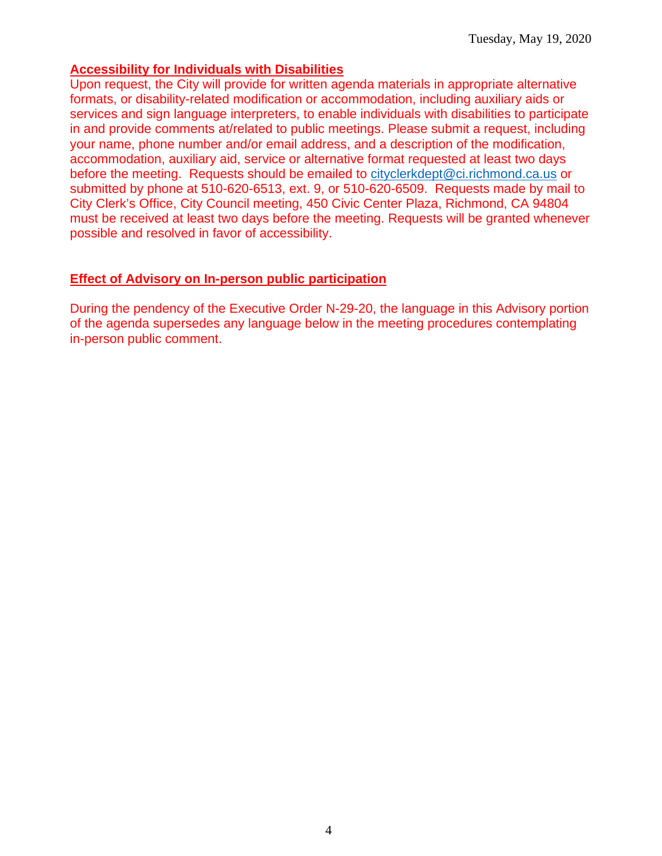#### **Accessibility for Individuals with Disabilities**

Upon request, the City will provide for written agenda materials in appropriate alternative formats, or disability-related modification or accommodation, including auxiliary aids or services and sign language interpreters, to enable individuals with disabilities to participate in and provide comments at/related to public meetings. Please submit a request, including your name, phone number and/or email address, and a description of the modification, accommodation, auxiliary aid, service or alternative format requested at least two days before the meeting. Requests should be emailed to [cityclerkdept@ci.richmond.ca.us](mailto:cityclerkdept@ci.richmond.ca.us) or submitted by phone at 510-620-6513, ext. 9, or 510-620-6509. Requests made by mail to City Clerk's Office, City Council meeting, 450 Civic Center Plaza, Richmond, CA 94804 must be received at least two days before the meeting. Requests will be granted whenever possible and resolved in favor of accessibility.

#### **Effect of Advisory on In-person public participation**

During the pendency of the Executive Order N-29-20, the language in this Advisory portion of the agenda supersedes any language below in the meeting procedures contemplating in-person public comment.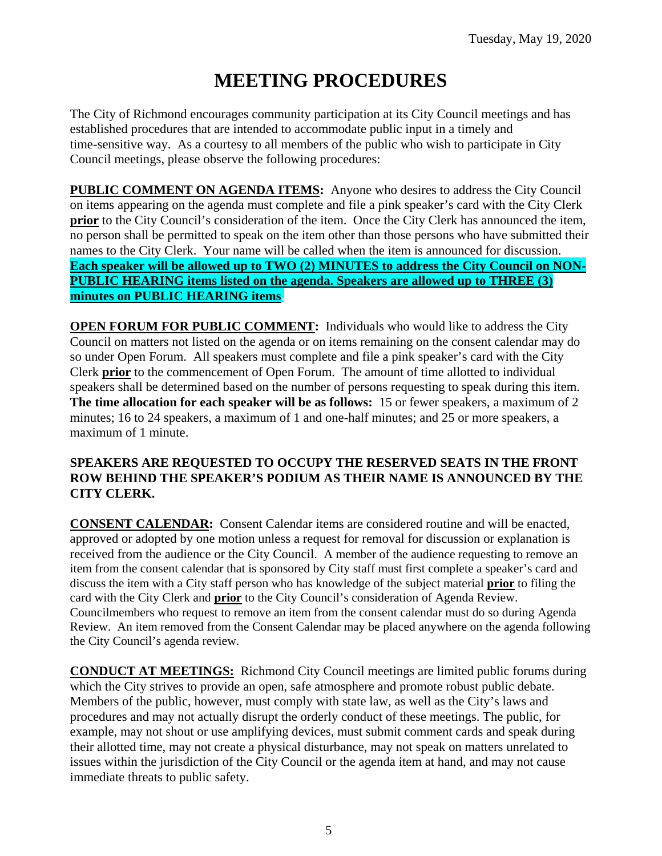# **MEETING PROCEDURES**

The City of Richmond encourages community participation at its City Council meetings and has established procedures that are intended to accommodate public input in a timely and time-sensitive way. As a courtesy to all members of the public who wish to participate in City Council meetings, please observe the following procedures:

**PUBLIC COMMENT ON AGENDA ITEMS:** Anyone who desires to address the City Council on items appearing on the agenda must complete and file a pink speaker's card with the City Clerk **prior** to the City Council's consideration of the item. Once the City Clerk has announced the item, no person shall be permitted to speak on the item other than those persons who have submitted their names to the City Clerk. Your name will be called when the item is announced for discussion. **Each speaker will be allowed up to TWO (2) MINUTES to address the City Council on NON-PUBLIC HEARING items listed on the agenda. Speakers are allowed up to THREE (3) minutes on PUBLIC HEARING items.**

**OPEN FORUM FOR PUBLIC COMMENT:** Individuals who would like to address the City Council on matters not listed on the agenda or on items remaining on the consent calendar may do so under Open Forum. All speakers must complete and file a pink speaker's card with the City Clerk **prior** to the commencement of Open Forum. The amount of time allotted to individual speakers shall be determined based on the number of persons requesting to speak during this item. **The time allocation for each speaker will be as follows:** 15 or fewer speakers, a maximum of 2 minutes; 16 to 24 speakers, a maximum of 1 and one-half minutes; and 25 or more speakers, a maximum of 1 minute.

#### **SPEAKERS ARE REQUESTED TO OCCUPY THE RESERVED SEATS IN THE FRONT ROW BEHIND THE SPEAKER'S PODIUM AS THEIR NAME IS ANNOUNCED BY THE CITY CLERK.**

**CONSENT CALENDAR:** Consent Calendar items are considered routine and will be enacted, approved or adopted by one motion unless a request for removal for discussion or explanation is received from the audience or the City Council. A member of the audience requesting to remove an item from the consent calendar that is sponsored by City staff must first complete a speaker's card and discuss the item with a City staff person who has knowledge of the subject material **prior** to filing the card with the City Clerk and **prior** to the City Council's consideration of Agenda Review. Councilmembers who request to remove an item from the consent calendar must do so during Agenda Review. An item removed from the Consent Calendar may be placed anywhere on the agenda following the City Council's agenda review.

**CONDUCT AT MEETINGS:** Richmond City Council meetings are limited public forums during which the City strives to provide an open, safe atmosphere and promote robust public debate. Members of the public, however, must comply with state law, as well as the City's laws and procedures and may not actually disrupt the orderly conduct of these meetings. The public, for example, may not shout or use amplifying devices, must submit comment cards and speak during their allotted time, may not create a physical disturbance, may not speak on matters unrelated to issues within the jurisdiction of the City Council or the agenda item at hand, and may not cause immediate threats to public safety.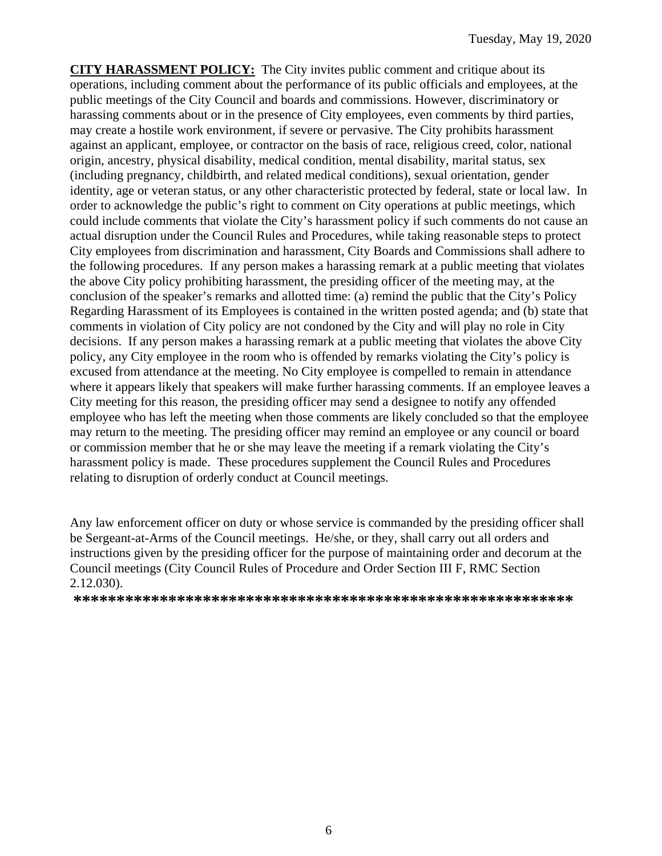**CITY HARASSMENT POLICY:** The City invites public comment and critique about its operations, including comment about the performance of its public officials and employees, at the public meetings of the City Council and boards and commissions. However, discriminatory or harassing comments about or in the presence of City employees, even comments by third parties, may create a hostile work environment, if severe or pervasive. The City prohibits harassment against an applicant, employee, or contractor on the basis of race, religious creed, color, national origin, ancestry, physical disability, medical condition, mental disability, marital status, sex (including pregnancy, childbirth, and related medical conditions), sexual orientation, gender identity, age or veteran status, or any other characteristic protected by federal, state or local law. In order to acknowledge the public's right to comment on City operations at public meetings, which could include comments that violate the City's harassment policy if such comments do not cause an actual disruption under the Council Rules and Procedures, while taking reasonable steps to protect City employees from discrimination and harassment, City Boards and Commissions shall adhere to the following procedures. If any person makes a harassing remark at a public meeting that violates the above City policy prohibiting harassment, the presiding officer of the meeting may, at the conclusion of the speaker's remarks and allotted time: (a) remind the public that the City's Policy Regarding Harassment of its Employees is contained in the written posted agenda; and (b) state that comments in violation of City policy are not condoned by the City and will play no role in City decisions. If any person makes a harassing remark at a public meeting that violates the above City policy, any City employee in the room who is offended by remarks violating the City's policy is excused from attendance at the meeting. No City employee is compelled to remain in attendance where it appears likely that speakers will make further harassing comments. If an employee leaves a City meeting for this reason, the presiding officer may send a designee to notify any offended employee who has left the meeting when those comments are likely concluded so that the employee may return to the meeting. The presiding officer may remind an employee or any council or board or commission member that he or she may leave the meeting if a remark violating the City's harassment policy is made. These procedures supplement the Council Rules and Procedures relating to disruption of orderly conduct at Council meetings.

Any law enforcement officer on duty or whose service is commanded by the presiding officer shall be Sergeant-at-Arms of the Council meetings. He/she, or they, shall carry out all orders and instructions given by the presiding officer for the purpose of maintaining order and decorum at the Council meetings (City Council Rules of Procedure and Order Section III F, RMC Section 2.12.030).

**\*\*\*\*\*\*\*\*\*\*\*\*\*\*\*\*\*\*\*\*\*\*\*\*\*\*\*\*\*\*\*\*\*\*\*\*\*\*\*\*\*\*\*\*\*\*\*\*\*\*\*\*\*\*\*\*\*\***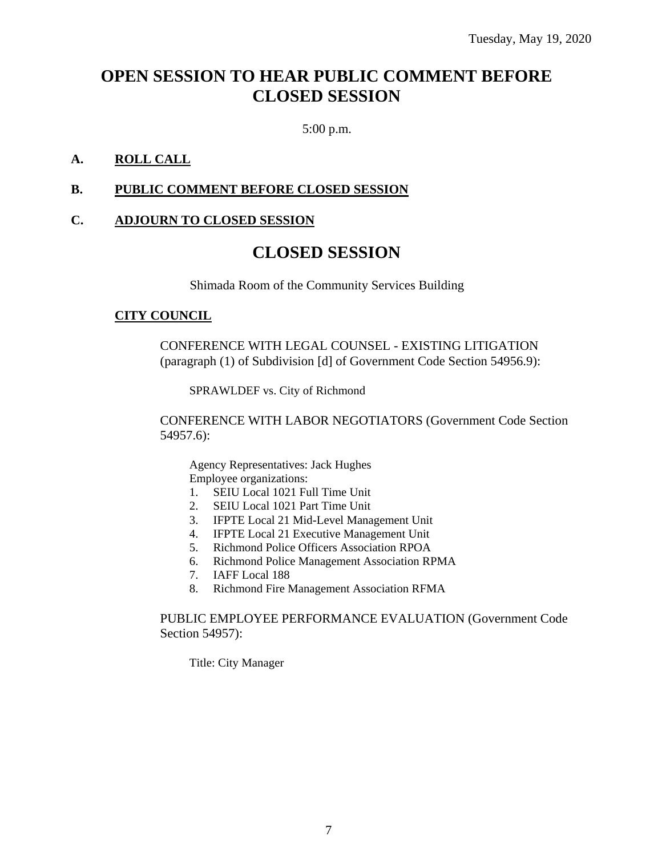# **OPEN SESSION TO HEAR PUBLIC COMMENT BEFORE CLOSED SESSION**

5:00 p.m.

#### **A. ROLL CALL**

#### **B. PUBLIC COMMENT BEFORE CLOSED SESSION**

#### **C. ADJOURN TO CLOSED SESSION**

# **CLOSED SESSION**

Shimada Room of the Community Services Building

#### **CITY COUNCIL**

CONFERENCE WITH LEGAL COUNSEL - EXISTING LITIGATION (paragraph (1) of Subdivision [d] of Government Code Section 54956.9):

SPRAWLDEF vs. City of Richmond

CONFERENCE WITH LABOR NEGOTIATORS (Government Code Section 54957.6):

Agency Representatives: Jack Hughes Employee organizations:

- 1. SEIU Local 1021 Full Time Unit
- 2. SEIU Local 1021 Part Time Unit
- 3. IFPTE Local 21 Mid-Level Management Unit
- 4. IFPTE Local 21 Executive Management Unit
- 5. Richmond Police Officers Association RPOA
- 6. Richmond Police Management Association RPMA
- 7. IAFF Local 188
- 8. Richmond Fire Management Association RFMA

#### PUBLIC EMPLOYEE PERFORMANCE EVALUATION (Government Code Section 54957):

Title: City Manager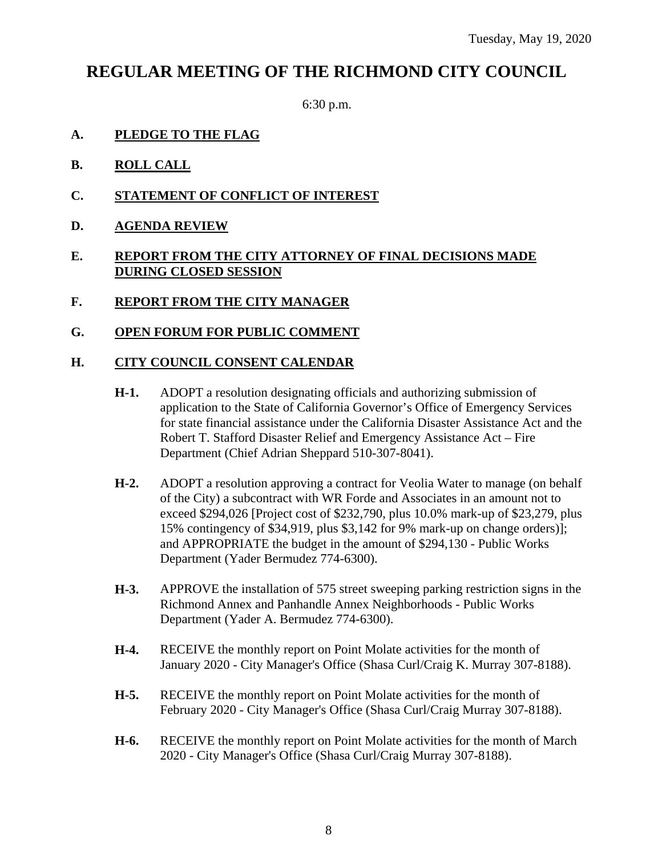# **REGULAR MEETING OF THE RICHMOND CITY COUNCIL**

6:30 p.m.

- **A. PLEDGE TO THE FLAG**
- **B. ROLL CALL**
- **C. STATEMENT OF CONFLICT OF INTEREST**
- **D. AGENDA REVIEW**
- **E. REPORT FROM THE CITY ATTORNEY OF FINAL DECISIONS MADE DURING CLOSED SESSION**
- **F. REPORT FROM THE CITY MANAGER**

#### **G. OPEN FORUM FOR PUBLIC COMMENT**

#### **H. CITY COUNCIL CONSENT CALENDAR**

- **H-1.** ADOPT a resolution designating officials and authorizing submission of application to the State of California Governor's Office of Emergency Services for state financial assistance under the California Disaster Assistance Act and the Robert T. Stafford Disaster Relief and Emergency Assistance Act – Fire Department (Chief Adrian Sheppard 510-307-8041).
- **H-2.** ADOPT a resolution approving a contract for Veolia Water to manage (on behalf of the City) a subcontract with WR Forde and Associates in an amount not to exceed \$294,026 [Project cost of \$232,790, plus 10.0% mark-up of \$23,279, plus 15% contingency of \$34,919, plus \$3,142 for 9% mark-up on change orders)]; and APPROPRIATE the budget in the amount of \$294,130 - Public Works Department (Yader Bermudez 774-6300).
- **H-3.** APPROVE the installation of 575 street sweeping parking restriction signs in the Richmond Annex and Panhandle Annex Neighborhoods - Public Works Department (Yader A. Bermudez 774-6300).
- **H-4.** RECEIVE the monthly report on Point Molate activities for the month of January 2020 - City Manager's Office (Shasa Curl/Craig K. Murray 307-8188).
- **H-5.** RECEIVE the monthly report on Point Molate activities for the month of February 2020 - City Manager's Office (Shasa Curl/Craig Murray 307-8188).
- **H-6.** RECEIVE the monthly report on Point Molate activities for the month of March 2020 - City Manager's Office (Shasa Curl/Craig Murray 307-8188).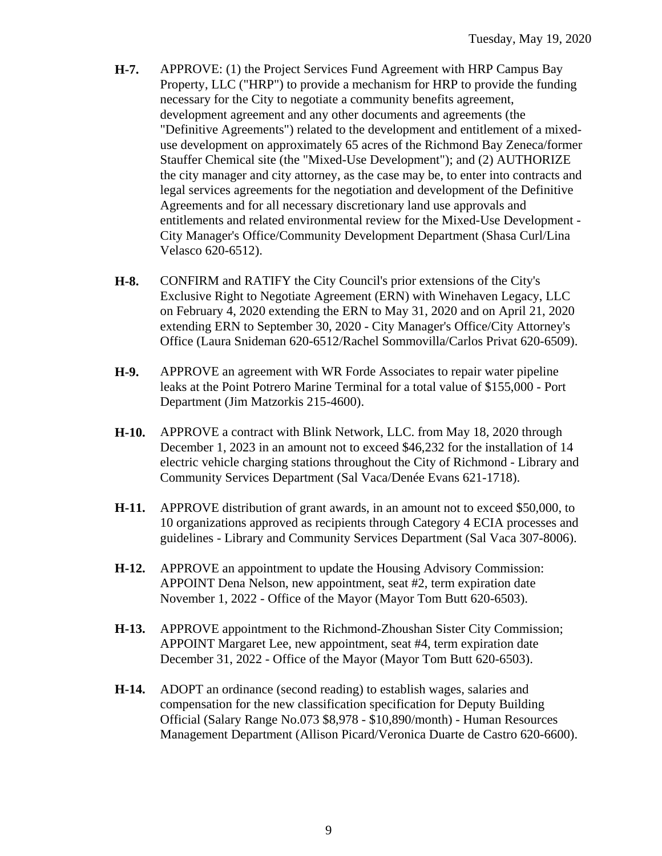- **H-7.** APPROVE: (1) the Project Services Fund Agreement with HRP Campus Bay Property, LLC ("HRP") to provide a mechanism for HRP to provide the funding necessary for the City to negotiate a community benefits agreement, development agreement and any other documents and agreements (the "Definitive Agreements") related to the development and entitlement of a mixeduse development on approximately 65 acres of the Richmond Bay Zeneca/former Stauffer Chemical site (the "Mixed-Use Development"); and (2) AUTHORIZE the city manager and city attorney, as the case may be, to enter into contracts and legal services agreements for the negotiation and development of the Definitive Agreements and for all necessary discretionary land use approvals and entitlements and related environmental review for the Mixed-Use Development - City Manager's Office/Community Development Department (Shasa Curl/Lina Velasco 620-6512).
- **H-8.** CONFIRM and RATIFY the City Council's prior extensions of the City's Exclusive Right to Negotiate Agreement (ERN) with Winehaven Legacy, LLC on February 4, 2020 extending the ERN to May 31, 2020 and on April 21, 2020 extending ERN to September 30, 2020 - City Manager's Office/City Attorney's Office (Laura Snideman 620-6512/Rachel Sommovilla/Carlos Privat 620-6509).
- **H-9.** APPROVE an agreement with WR Forde Associates to repair water pipeline leaks at the Point Potrero Marine Terminal for a total value of \$155,000 - Port Department (Jim Matzorkis 215-4600).
- **H-10.** APPROVE a contract with Blink Network, LLC. from May 18, 2020 through December 1, 2023 in an amount not to exceed \$46,232 for the installation of 14 electric vehicle charging stations throughout the City of Richmond - Library and Community Services Department (Sal Vaca/Denée Evans 621-1718).
- **H-11.** APPROVE distribution of grant awards, in an amount not to exceed \$50,000, to 10 organizations approved as recipients through Category 4 ECIA processes and guidelines - Library and Community Services Department (Sal Vaca 307-8006).
- **H-12.** APPROVE an appointment to update the Housing Advisory Commission: APPOINT Dena Nelson, new appointment, seat #2, term expiration date November 1, 2022 - Office of the Mayor (Mayor Tom Butt 620-6503).
- **H-13.** APPROVE appointment to the Richmond-Zhoushan Sister City Commission; APPOINT Margaret Lee, new appointment, seat #4, term expiration date December 31, 2022 - Office of the Mayor (Mayor Tom Butt 620-6503).
- **H-14.** ADOPT an ordinance (second reading) to establish wages, salaries and compensation for the new classification specification for Deputy Building Official (Salary Range No.073 \$8,978 - \$10,890/month) - Human Resources Management Department (Allison Picard/Veronica Duarte de Castro 620-6600).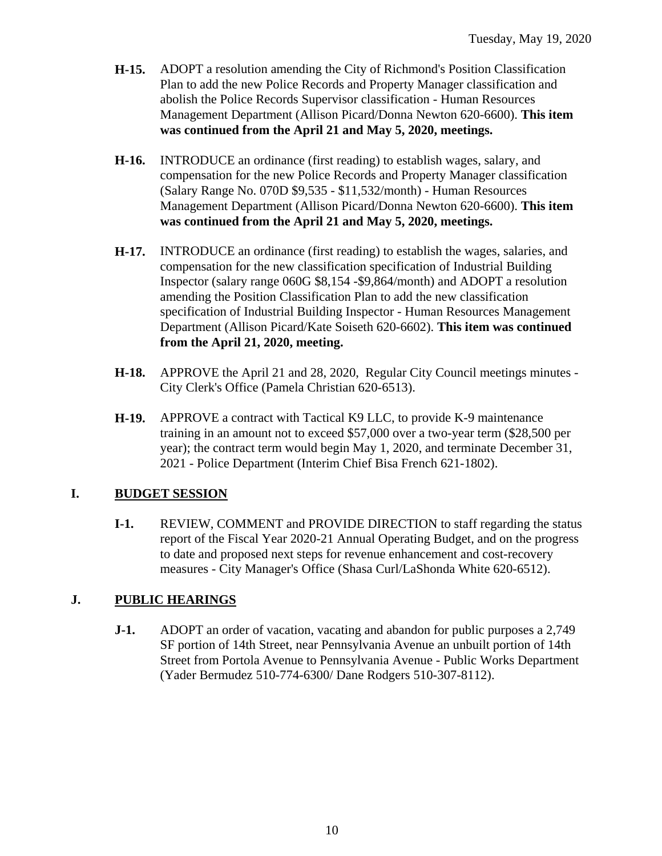- **H-15.** ADOPT a resolution amending the City of Richmond's Position Classification Plan to add the new Police Records and Property Manager classification and abolish the Police Records Supervisor classification - Human Resources Management Department (Allison Picard/Donna Newton 620-6600). **This item was continued from the April 21 and May 5, 2020, meetings.**
- **H-16.** INTRODUCE an ordinance (first reading) to establish wages, salary, and compensation for the new Police Records and Property Manager classification (Salary Range No. 070D \$9,535 - \$11,532/month) - Human Resources Management Department (Allison Picard/Donna Newton 620-6600). **This item was continued from the April 21 and May 5, 2020, meetings.**
- **H-17.** INTRODUCE an ordinance (first reading) to establish the wages, salaries, and compensation for the new classification specification of Industrial Building Inspector (salary range 060G \$8,154 -\$9,864/month) and ADOPT a resolution amending the Position Classification Plan to add the new classification specification of Industrial Building Inspector - Human Resources Management Department (Allison Picard/Kate Soiseth 620-6602). **This item was continued from the April 21, 2020, meeting.**
- **H-18.** APPROVE the April 21 and 28, 2020, Regular City Council meetings minutes City Clerk's Office (Pamela Christian 620-6513).
- **H-19.** APPROVE a contract with Tactical K9 LLC, to provide K-9 maintenance training in an amount not to exceed \$57,000 over a two-year term (\$28,500 per year); the contract term would begin May 1, 2020, and terminate December 31, 2021 - Police Department (Interim Chief Bisa French 621-1802).

#### **I. BUDGET SESSION**

**I-1.** REVIEW, COMMENT and PROVIDE DIRECTION to staff regarding the status report of the Fiscal Year 2020-21 Annual Operating Budget, and on the progress to date and proposed next steps for revenue enhancement and cost-recovery measures - City Manager's Office (Shasa Curl/LaShonda White 620-6512).

### **J. PUBLIC HEARINGS**

**J-1.** ADOPT an order of vacation, vacating and abandon for public purposes a 2,749 SF portion of 14th Street, near Pennsylvania Avenue an unbuilt portion of 14th Street from Portola Avenue to Pennsylvania Avenue - Public Works Department (Yader Bermudez 510-774-6300/ Dane Rodgers 510-307-8112).